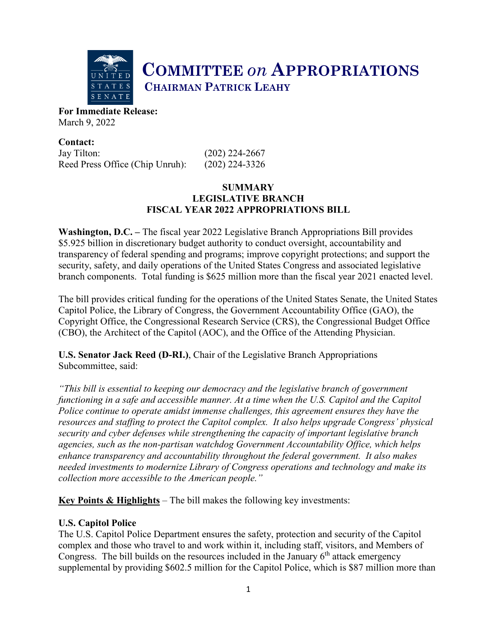

# **COMMITTEE** *on* **APPROPRIATIONS CHAIRMAN PATRICK LEAHY**

**For Immediate Release:**  March 9, 2022

**Contact:** Jay Tilton: (202) 224-2667 Reed Press Office (Chip Unruh): (202) 224-3326

# **SUMMARY LEGISLATIVE BRANCH FISCAL YEAR 2022 APPROPRIATIONS BILL**

**Washington, D.C. –** The fiscal year 2022 Legislative Branch Appropriations Bill provides \$5.925 billion in discretionary budget authority to conduct oversight, accountability and transparency of federal spending and programs; improve copyright protections; and support the security, safety, and daily operations of the United States Congress and associated legislative branch components. Total funding is \$625 million more than the fiscal year 2021 enacted level.

The bill provides critical funding for the operations of the United States Senate, the United States Capitol Police, the Library of Congress, the Government Accountability Office (GAO), the Copyright Office, the Congressional Research Service (CRS), the Congressional Budget Office (CBO), the Architect of the Capitol (AOC), and the Office of the Attending Physician.

**U.S. Senator Jack Reed (D-RI.)**, Chair of the Legislative Branch Appropriations Subcommittee, said:

*"This bill is essential to keeping our democracy and the legislative branch of government functioning in a safe and accessible manner. At a time when the U.S. Capitol and the Capitol Police continue to operate amidst immense challenges, this agreement ensures they have the resources and staffing to protect the Capitol complex. It also helps upgrade Congress' physical security and cyber defenses while strengthening the capacity of important legislative branch agencies, such as the non-partisan watchdog Government Accountability Office, which helps enhance transparency and accountability throughout the federal government. It also makes needed investments to modernize Library of Congress operations and technology and make its collection more accessible to the American people."*

**Key Points & Highlights** – The bill makes the following key investments:

# **U.S. Capitol Police**

The U.S. Capitol Police Department ensures the safety, protection and security of the Capitol complex and those who travel to and work within it, including staff, visitors, and Members of Congress. The bill builds on the resources included in the January  $6<sup>th</sup>$  attack emergency supplemental by providing \$602.5 million for the Capitol Police, which is \$87 million more than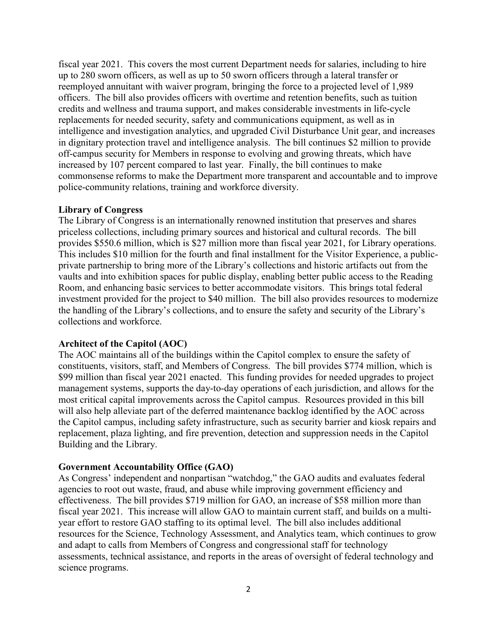fiscal year 2021. This covers the most current Department needs for salaries, including to hire up to 280 sworn officers, as well as up to 50 sworn officers through a lateral transfer or reemployed annuitant with waiver program, bringing the force to a projected level of 1,989 officers. The bill also provides officers with overtime and retention benefits, such as tuition credits and wellness and trauma support, and makes considerable investments in life-cycle replacements for needed security, safety and communications equipment, as well as in intelligence and investigation analytics, and upgraded Civil Disturbance Unit gear, and increases in dignitary protection travel and intelligence analysis. The bill continues \$2 million to provide off-campus security for Members in response to evolving and growing threats, which have increased by 107 percent compared to last year. Finally, the bill continues to make commonsense reforms to make the Department more transparent and accountable and to improve police-community relations, training and workforce diversity.

#### **Library of Congress**

The Library of Congress is an internationally renowned institution that preserves and shares priceless collections, including primary sources and historical and cultural records. The bill provides \$550.6 million, which is \$27 million more than fiscal year 2021, for Library operations. This includes \$10 million for the fourth and final installment for the Visitor Experience, a publicprivate partnership to bring more of the Library's collections and historic artifacts out from the vaults and into exhibition spaces for public display, enabling better public access to the Reading Room, and enhancing basic services to better accommodate visitors. This brings total federal investment provided for the project to \$40 million. The bill also provides resources to modernize the handling of the Library's collections, and to ensure the safety and security of the Library's collections and workforce.

#### **Architect of the Capitol (AOC)**

The AOC maintains all of the buildings within the Capitol complex to ensure the safety of constituents, visitors, staff, and Members of Congress. The bill provides \$774 million, which is \$99 million than fiscal year 2021 enacted. This funding provides for needed upgrades to project management systems, supports the day-to-day operations of each jurisdiction, and allows for the most critical capital improvements across the Capitol campus. Resources provided in this bill will also help alleviate part of the deferred maintenance backlog identified by the AOC across the Capitol campus, including safety infrastructure, such as security barrier and kiosk repairs and replacement, plaza lighting, and fire prevention, detection and suppression needs in the Capitol Building and the Library.

#### **Government Accountability Office (GAO)**

As Congress' independent and nonpartisan "watchdog," the GAO audits and evaluates federal agencies to root out waste, fraud, and abuse while improving government efficiency and effectiveness. The bill provides \$719 million for GAO, an increase of \$58 million more than fiscal year 2021. This increase will allow GAO to maintain current staff, and builds on a multiyear effort to restore GAO staffing to its optimal level. The bill also includes additional resources for the Science, Technology Assessment, and Analytics team, which continues to grow and adapt to calls from Members of Congress and congressional staff for technology assessments, technical assistance, and reports in the areas of oversight of federal technology and science programs.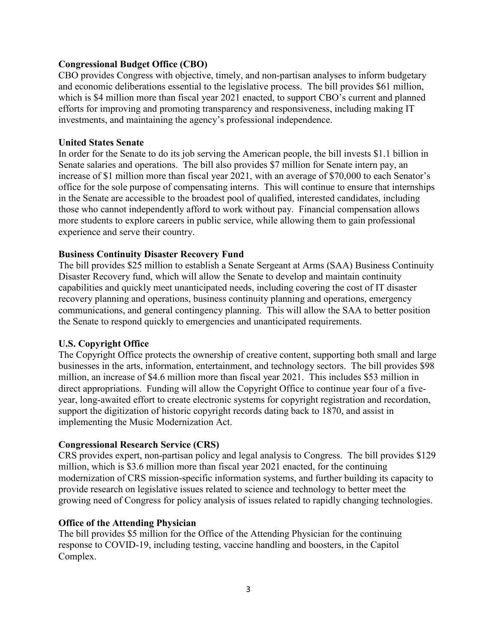## **Congressional Budget Office (CBO)**

CBO provides Congress with objective, timely, and non-partisan analyses to inform budgetary and economic deliberations essential to the legislative process.The bill provides \$61 million, which is \$4 million more than fiscal year 2021 enacted, to support CBO's current and planned efforts for improving and promoting transparency and responsiveness, including making IT investments, and maintaining the agency's professional independence.

## **United States Senate**

In order for the Senate to do its job serving the American people, the bill invests \$1.1 billion in Senate salaries and operations. The bill also provides \$7 million for Senate intern pay, an increase of \$1 million more than fiscal year 2021, with an average of \$70,000 to each Senator's office for the sole purpose of compensating interns. This will continue to ensure that internships in the Senate are accessible to the broadest pool of qualified, interested candidates, including those who cannot independently afford to work without pay. Financial compensation allows more students to explore careers in public service, while allowing them to gain professional experience and serve their country.

# **Business Continuity Disaster Recovery Fund**

The bill provides \$25 million to establish a Senate Sergeant at Arms (SAA) Business Continuity Disaster Recovery fund, which will allow the Senate to develop and maintain continuity capabilities and quickly meet unanticipated needs, including covering the cost of IT disaster recovery planning and operations, business continuity planning and operations, emergency communications, and general contingency planning. This will allow the SAA to better position the Senate to respond quickly to emergencies and unanticipated requirements.

# **U.S. Copyright Office**

The Copyright Office protects the ownership of creative content, supporting both small and large businesses in the arts, information, entertainment, and technology sectors. The bill provides \$98 million, an increase of \$4.6 million more than fiscal year 2021. This includes \$53 million in direct appropriations. Funding will allow the Copyright Office to continue year four of a fiveyear, long-awaited effort to create electronic systems for copyright registration and recordation, support the digitization of historic copyright records dating back to 1870, and assist in implementing the Music Modernization Act.

# **Congressional Research Service (CRS)**

CRS provides expert, non-partisan policy and legal analysis to Congress. The bill provides \$129 million, which is \$3.6 million more than fiscal year 2021 enacted, for the continuing modernization of CRS mission-specific information systems, and further building its capacity to provide research on legislative issues related to science and technology to better meet the growing need of Congress for policy analysis of issues related to rapidly changing technologies.

#### **Office of the Attending Physician**

The bill provides \$5 million for the Office of the Attending Physician for the continuing response to COVID-19, including testing, vaccine handling and boosters, in the Capitol Complex.